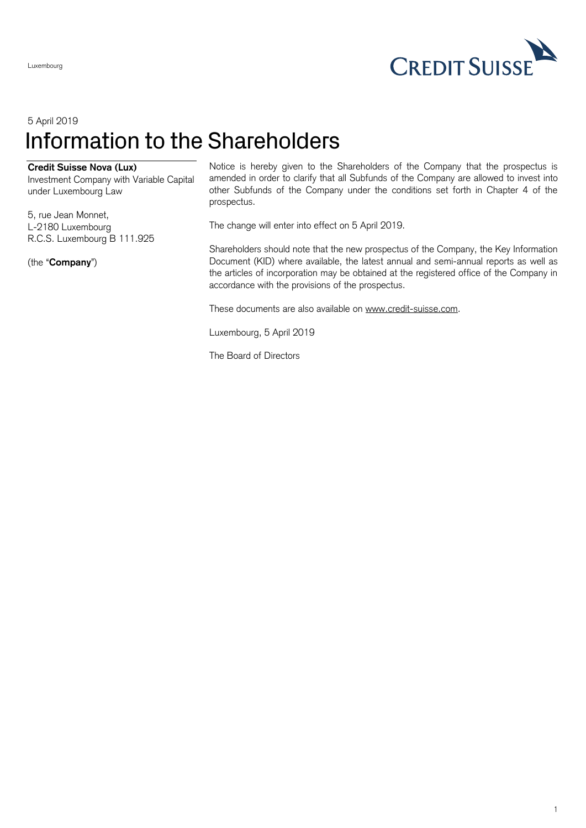

## 5 April 2019 Information to the Shareholders

## **Credit Suisse Nova (Lux)**

Investment Company with Variable Capital under Luxembourg Law

5, rue Jean Monnet, L-2180 Luxembourg R.C.S. Luxembourg B 111.925

(the "**Company**")

Luxembourg

Notice is hereby given to the Shareholders of the Company that the prospectus is amended in order to clarify that all Subfunds of the Company are allowed to invest into other Subfunds of the Company under the conditions set forth in Chapter 4 of the prospectus.

The change will enter into effect on 5 April 2019.

Shareholders should note that the new prospectus of the Company, the Key Information Document (KID) where available, the latest annual and semi-annual reports as well as the articles of incorporation may be obtained at the registered office of the Company in accordance with the provisions of the prospectus.

These documents are also available on [www.credit-suisse.com.](http://www.credit-suisse.com/)

Luxembourg, 5 April 2019

The Board of Directors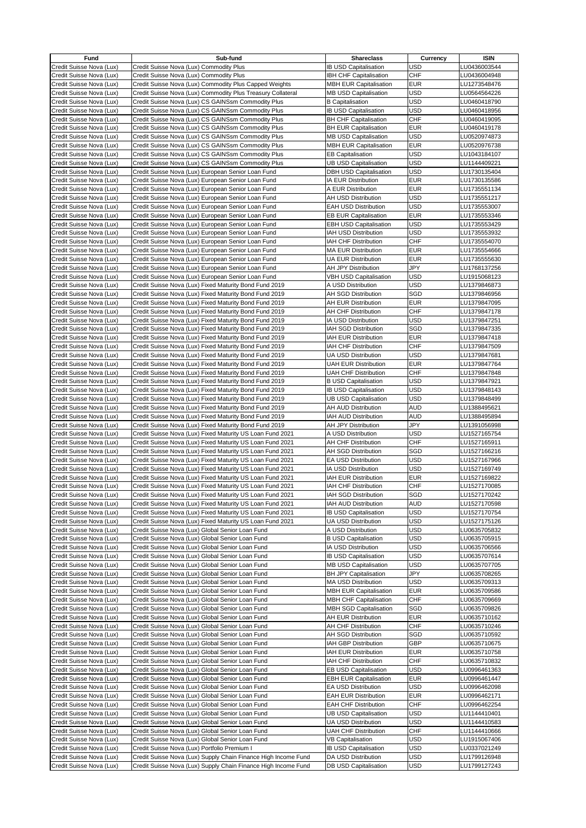| Fund                                                 | Sub-fund                                                                                                         | <b>Shareclass</b>                                 | Currency   | <b>ISIN</b>                  |
|------------------------------------------------------|------------------------------------------------------------------------------------------------------------------|---------------------------------------------------|------------|------------------------------|
| Credit Suisse Nova (Lux)                             | Credit Suisse Nova (Lux) Commodity Plus                                                                          | <b>IB USD Capitalisation</b>                      | USD        | LU0436003544                 |
| Credit Suisse Nova (Lux)                             | Credit Suisse Nova (Lux) Commodity Plus                                                                          | <b>IBH CHF Capitalisation</b>                     | CHF        | LU0436004948                 |
| Credit Suisse Nova (Lux)                             | Credit Suisse Nova (Lux) Commodity Plus Capped Weights                                                           | <b>MBH EUR Capitalisation</b>                     | <b>EUR</b> | LU1273548476                 |
| Credit Suisse Nova (Lux)                             | Credit Suisse Nova (Lux) Commodity Plus Treasury Collateral                                                      | <b>MB USD Capitalisation</b>                      | USD        | LU0564564226                 |
|                                                      |                                                                                                                  | <b>B</b> Capitalisation                           | <b>USD</b> | LU0460418790                 |
| Credit Suisse Nova (Lux)                             | Credit Suisse Nova (Lux) CS GAINSsm Commodity Plus                                                               |                                                   |            |                              |
| Credit Suisse Nova (Lux)                             | Credit Suisse Nova (Lux) CS GAINSsm Commodity Plus                                                               | <b>IB USD Capitalisation</b>                      | <b>USD</b> | LU0460418956                 |
| Credit Suisse Nova (Lux)                             | Credit Suisse Nova (Lux) CS GAINSsm Commodity Plus                                                               | <b>BH CHF Capitalisation</b>                      | <b>CHF</b> | LU0460419095                 |
| Credit Suisse Nova (Lux)                             | Credit Suisse Nova (Lux) CS GAINSsm Commodity Plus                                                               | <b>BH EUR Capitalisation</b>                      | <b>EUR</b> | LU0460419178                 |
| Credit Suisse Nova (Lux)                             | Credit Suisse Nova (Lux) CS GAINSsm Commodity Plus                                                               | <b>MB USD Capitalisation</b>                      | <b>USD</b> | LU0520974873                 |
| Credit Suisse Nova (Lux)                             | Credit Suisse Nova (Lux) CS GAINSsm Commodity Plus                                                               | <b>MBH EUR Capitalisation</b>                     | <b>EUR</b> | LU0520976738                 |
| Credit Suisse Nova (Lux)                             | Credit Suisse Nova (Lux) CS GAINSsm Commodity Plus                                                               | <b>EB Capitalisation</b>                          | USD        | LU1043184107                 |
| Credit Suisse Nova (Lux)                             | Credit Suisse Nova (Lux) CS GAINSsm Commodity Plus                                                               | <b>UB USD Capitalisation</b>                      | <b>USD</b> | LU1144409221                 |
| Credit Suisse Nova (Lux)                             | Credit Suisse Nova (Lux) European Senior Loan Fund                                                               | <b>DBH USD Capitalisation</b>                     | <b>USD</b> | LU1730135404                 |
| Credit Suisse Nova (Lux)                             | Credit Suisse Nova (Lux) European Senior Loan Fund                                                               | IA EUR Distribution                               | <b>EUR</b> | LU1730135586                 |
| Credit Suisse Nova (Lux)                             | Credit Suisse Nova (Lux) European Senior Loan Fund                                                               | A EUR Distribution                                | <b>EUR</b> | LU1735551134                 |
| Credit Suisse Nova (Lux)                             | Credit Suisse Nova (Lux) European Senior Loan Fund                                                               | AH USD Distribution                               | <b>USD</b> | LU1735551217                 |
| Credit Suisse Nova (Lux)                             | Credit Suisse Nova (Lux) European Senior Loan Fund                                                               | <b>EAH USD Distribution</b>                       | <b>USD</b> | LU1735553007                 |
| Credit Suisse Nova (Lux)                             | Credit Suisse Nova (Lux) European Senior Loan Fund                                                               | <b>EB EUR Capitalisation</b>                      | <b>EUR</b> | LU1735553346                 |
| Credit Suisse Nova (Lux)                             | Credit Suisse Nova (Lux) European Senior Loan Fund                                                               | <b>EBH USD Capitalisation</b>                     | <b>USD</b> | LU1735553429                 |
| Credit Suisse Nova (Lux)                             | Credit Suisse Nova (Lux) European Senior Loan Fund                                                               | IAH USD Distribution                              | <b>USD</b> | LU1735553932                 |
| Credit Suisse Nova (Lux)                             | Credit Suisse Nova (Lux) European Senior Loan Fund                                                               | IAH CHF Distribution                              | <b>CHF</b> | LU1735554070                 |
| Credit Suisse Nova (Lux)                             | Credit Suisse Nova (Lux) European Senior Loan Fund                                                               | <b>MA EUR Distribution</b>                        | <b>EUR</b> | LU1735554666                 |
| Credit Suisse Nova (Lux)                             | Credit Suisse Nova (Lux) European Senior Loan Fund                                                               | <b>UA EUR Distribution</b>                        | EUR        | LU1735555630                 |
| Credit Suisse Nova (Lux)                             | Credit Suisse Nova (Lux) European Senior Loan Fund                                                               | <b>AH JPY Distribution</b>                        | JPY        | LU1768137256                 |
| Credit Suisse Nova (Lux)                             | Credit Suisse Nova (Lux) European Senior Loan Fund                                                               | <b>VBH USD Capitalisation</b>                     | USD        | LU1915068123                 |
| Credit Suisse Nova (Lux)                             | Credit Suisse Nova (Lux) Fixed Maturity Bond Fund 2019                                                           | A USD Distribution                                | <b>USD</b> | LU1379846873                 |
| Credit Suisse Nova (Lux)                             | Credit Suisse Nova (Lux) Fixed Maturity Bond Fund 2019                                                           | <b>AH SGD Distribution</b>                        | SGD        | LU1379846956                 |
| Credit Suisse Nova (Lux)                             | Credit Suisse Nova (Lux) Fixed Maturity Bond Fund 2019                                                           | <b>AH EUR Distribution</b>                        | <b>EUR</b> | LU1379847095                 |
|                                                      |                                                                                                                  |                                                   | <b>CHF</b> |                              |
| Credit Suisse Nova (Lux)<br>Credit Suisse Nova (Lux) | Credit Suisse Nova (Lux) Fixed Maturity Bond Fund 2019<br>Credit Suisse Nova (Lux) Fixed Maturity Bond Fund 2019 | <b>AH CHF Distribution</b><br>IA USD Distribution | <b>USD</b> | LU1379847178<br>LU1379847251 |
|                                                      |                                                                                                                  |                                                   |            |                              |
| Credit Suisse Nova (Lux)                             | Credit Suisse Nova (Lux) Fixed Maturity Bond Fund 2019                                                           | IAH SGD Distribution                              | SGD        | LU1379847335                 |
| Credit Suisse Nova (Lux)                             | Credit Suisse Nova (Lux) Fixed Maturity Bond Fund 2019                                                           | IAH EUR Distribution                              | <b>EUR</b> | LU1379847418                 |
| Credit Suisse Nova (Lux)                             | Credit Suisse Nova (Lux) Fixed Maturity Bond Fund 2019                                                           | IAH CHF Distribution                              | <b>CHF</b> | LU1379847509                 |
| Credit Suisse Nova (Lux)                             | Credit Suisse Nova (Lux) Fixed Maturity Bond Fund 2019                                                           | <b>UA USD Distribution</b>                        | <b>USD</b> | LU1379847681                 |
| Credit Suisse Nova (Lux)                             | Credit Suisse Nova (Lux) Fixed Maturity Bond Fund 2019                                                           | <b>UAH EUR Distribution</b>                       | <b>EUR</b> | LU1379847764                 |
| Credit Suisse Nova (Lux)                             | Credit Suisse Nova (Lux) Fixed Maturity Bond Fund 2019                                                           | <b>UAH CHF Distribution</b>                       | <b>CHF</b> | LU1379847848                 |
| Credit Suisse Nova (Lux)                             | Credit Suisse Nova (Lux) Fixed Maturity Bond Fund 2019                                                           | <b>B USD Capitalisation</b>                       | USD        | LU1379847921                 |
| Credit Suisse Nova (Lux)                             | Credit Suisse Nova (Lux) Fixed Maturity Bond Fund 2019                                                           | IB USD Capitalisation                             | <b>USD</b> | LU1379848143                 |
| Credit Suisse Nova (Lux)                             | Credit Suisse Nova (Lux) Fixed Maturity Bond Fund 2019                                                           | <b>UB USD Capitalisation</b>                      | <b>USD</b> | LU1379848499                 |
| Credit Suisse Nova (Lux)                             | Credit Suisse Nova (Lux) Fixed Maturity Bond Fund 2019                                                           | AH AUD Distribution                               | <b>AUD</b> | LU1388495621                 |
| Credit Suisse Nova (Lux)                             | Credit Suisse Nova (Lux) Fixed Maturity Bond Fund 2019                                                           | IAH AUD Distribution                              | <b>AUD</b> | LU1388495894                 |
| Credit Suisse Nova (Lux)                             | Credit Suisse Nova (Lux) Fixed Maturity Bond Fund 2019                                                           | <b>AH JPY Distribution</b>                        | JPY        | LU1391056998                 |
| Credit Suisse Nova (Lux)                             | Credit Suisse Nova (Lux) Fixed Maturity US Loan Fund 2021                                                        | A USD Distribution                                | USD        | LU1527165754                 |
| Credit Suisse Nova (Lux)                             | Credit Suisse Nova (Lux) Fixed Maturity US Loan Fund 2021                                                        | <b>AH CHF Distribution</b>                        | <b>CHF</b> | LU1527165911                 |
| Credit Suisse Nova (Lux)                             | Credit Suisse Nova (Lux) Fixed Maturity US Loan Fund 2021                                                        | AH SGD Distribution                               | SGD        | LU1527166216                 |
| Credit Suisse Nova (Lux)                             | Credit Suisse Nova (Lux) Fixed Maturity US Loan Fund 2021                                                        | EA USD Distribution                               | <b>USD</b> | LU1527167966                 |
| Credit Suisse Nova (Lux)                             | Credit Suisse Nova (Lux) Fixed Maturity US Loan Fund 2021                                                        | IA USD Distribution                               | <b>USD</b> | LU1527169749                 |
| Credit Suisse Nova (Lux)                             | Credit Suisse Nova (Lux) Fixed Maturity US Loan Fund 2021                                                        | <b>IAH EUR Distribution</b>                       | <b>EUR</b> | LU1527169822                 |
| Credit Suisse Nova (Lux)                             | Credit Suisse Nova (Lux) Fixed Maturity US Loan Fund 2021                                                        | IAH CHF Distribution                              | <b>CHF</b> | LU1527170085                 |
| Credit Suisse Nova (Lux)                             | Credit Suisse Nova (Lux) Fixed Maturity US Loan Fund 2021                                                        | IAH SGD Distribution                              | SGD        | LU1527170242                 |
| Credit Suisse Nova (Lux)                             | Credit Suisse Nova (Lux) Fixed Maturity US Loan Fund 2021                                                        | IAH AUD Distribution                              | <b>AUD</b> | LU1527170598                 |
| Credit Suisse Nova (Lux)                             | Credit Suisse Nova (Lux) Fixed Maturity US Loan Fund 2021                                                        | <b>IB USD Capitalisation</b>                      | USD        | LU1527170754                 |
| Credit Suisse Nova (Lux)                             | Credit Suisse Nova (Lux) Fixed Maturity US Loan Fund 2021                                                        | UA USD Distribution                               | USD        | LU1527175126                 |
| Credit Suisse Nova (Lux)                             | Credit Suisse Nova (Lux) Global Senior Loan Fund                                                                 | A USD Distribution                                | USD        | LU0635705832                 |
| Credit Suisse Nova (Lux)                             | Credit Suisse Nova (Lux) Global Senior Loan Fund                                                                 | <b>B USD Capitalisation</b>                       | USD        | LU0635705915                 |
| Credit Suisse Nova (Lux)                             | Credit Suisse Nova (Lux) Global Senior Loan Fund                                                                 | IA USD Distribution                               | USD        | LU0635706566                 |
| Credit Suisse Nova (Lux)                             | Credit Suisse Nova (Lux) Global Senior Loan Fund                                                                 | IB USD Capitalisation                             | USD        | LU0635707614                 |
| Credit Suisse Nova (Lux)                             | Credit Suisse Nova (Lux) Global Senior Loan Fund                                                                 | <b>MB USD Capitalisation</b>                      | USD        | LU0635707705                 |
| Credit Suisse Nova (Lux)                             | Credit Suisse Nova (Lux) Global Senior Loan Fund                                                                 | BH JPY Capitalisation                             | JPY        | LU0635708265                 |
| Credit Suisse Nova (Lux)                             | Credit Suisse Nova (Lux) Global Senior Loan Fund                                                                 | MA USD Distribution                               | USD        | LU0635709313                 |
| Credit Suisse Nova (Lux)                             | Credit Suisse Nova (Lux) Global Senior Loan Fund                                                                 | <b>MBH EUR Capitalisation</b>                     | <b>EUR</b> | LU0635709586                 |
| Credit Suisse Nova (Lux)                             | Credit Suisse Nova (Lux) Global Senior Loan Fund                                                                 | <b>MBH CHF Capitalisation</b>                     | CHF        | LU0635709669                 |
|                                                      |                                                                                                                  |                                                   |            | LU0635709826                 |
| Credit Suisse Nova (Lux)                             | Credit Suisse Nova (Lux) Global Senior Loan Fund                                                                 | <b>MBH SGD Capitalisation</b>                     | SGD        |                              |
| Credit Suisse Nova (Lux)                             | Credit Suisse Nova (Lux) Global Senior Loan Fund                                                                 | AH EUR Distribution                               | <b>EUR</b> | LU0635710162                 |
| Credit Suisse Nova (Lux)                             | Credit Suisse Nova (Lux) Global Senior Loan Fund                                                                 | AH CHF Distribution                               | CHF        | LU0635710246                 |
| Credit Suisse Nova (Lux)                             | Credit Suisse Nova (Lux) Global Senior Loan Fund                                                                 | AH SGD Distribution                               | SGD        | LU0635710592                 |
| Credit Suisse Nova (Lux)                             | Credit Suisse Nova (Lux) Global Senior Loan Fund                                                                 | IAH GBP Distribution                              | GBP        | LU0635710675                 |
| Credit Suisse Nova (Lux)                             | Credit Suisse Nova (Lux) Global Senior Loan Fund                                                                 | IAH EUR Distribution                              | <b>EUR</b> | LU0635710758                 |
| Credit Suisse Nova (Lux)                             | Credit Suisse Nova (Lux) Global Senior Loan Fund                                                                 | IAH CHF Distribution                              | <b>CHF</b> | LU0635710832                 |
| Credit Suisse Nova (Lux)                             | Credit Suisse Nova (Lux) Global Senior Loan Fund                                                                 | EB USD Capitalisation                             | USD        | LU0996461363                 |
| Credit Suisse Nova (Lux)                             | Credit Suisse Nova (Lux) Global Senior Loan Fund                                                                 | <b>EBH EUR Capitalisation</b>                     | <b>EUR</b> | LU0996461447                 |
| Credit Suisse Nova (Lux)                             | Credit Suisse Nova (Lux) Global Senior Loan Fund                                                                 | EA USD Distribution                               | USD        | LU0996462098                 |
| Credit Suisse Nova (Lux)                             | Credit Suisse Nova (Lux) Global Senior Loan Fund                                                                 | <b>EAH EUR Distribution</b>                       | EUR        | LU0996462171                 |
| Credit Suisse Nova (Lux)                             | Credit Suisse Nova (Lux) Global Senior Loan Fund                                                                 | <b>EAH CHF Distribution</b>                       | CHF        | LU0996462254                 |
| Credit Suisse Nova (Lux)                             | Credit Suisse Nova (Lux) Global Senior Loan Fund                                                                 | UB USD Capitalisation                             | USD        | LU1144410401                 |
| Credit Suisse Nova (Lux)                             | Credit Suisse Nova (Lux) Global Senior Loan Fund                                                                 | UA USD Distribution                               | USD        | LU1144410583                 |
| Credit Suisse Nova (Lux)                             | Credit Suisse Nova (Lux) Global Senior Loan Fund                                                                 | <b>UAH CHF Distribution</b>                       | CHF        | LU1144410666                 |
| Credit Suisse Nova (Lux)                             | Credit Suisse Nova (Lux) Global Senior Loan Fund                                                                 | <b>VB Capitalisation</b>                          | <b>USD</b> | LU1915067406                 |
| Credit Suisse Nova (Lux)                             | Credit Suisse Nova (Lux) Portfolio Premium I                                                                     | <b>IB USD Capitalisation</b>                      | USD        | LU0337021249                 |
| Credit Suisse Nova (Lux)                             | Credit Suisse Nova (Lux) Supply Chain Finance High Income Fund                                                   | DA USD Distribution                               | <b>USD</b> | LU1799126948                 |
| Credit Suisse Nova (Lux)                             | Credit Suisse Nova (Lux) Supply Chain Finance High Income Fund                                                   | DB USD Capitalisation                             | USD        | LU1799127243                 |